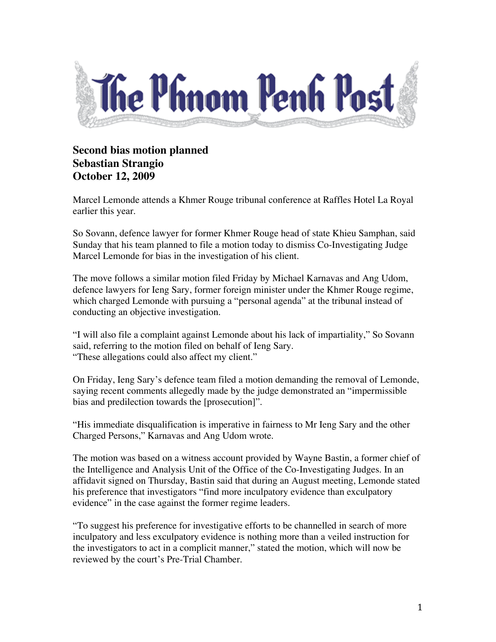

## **Second bias motion planned Sebastian Strangio October 12, 2009**

Marcel Lemonde attends a Khmer Rouge tribunal conference at Raffles Hotel La Royal earlier this year.

So Sovann, defence lawyer for former Khmer Rouge head of state Khieu Samphan, said Sunday that his team planned to file a motion today to dismiss Co-Investigating Judge Marcel Lemonde for bias in the investigation of his client.

The move follows a similar motion filed Friday by Michael Karnavas and Ang Udom, defence lawyers for Ieng Sary, former foreign minister under the Khmer Rouge regime, which charged Lemonde with pursuing a "personal agenda" at the tribunal instead of conducting an objective investigation.

"I will also file a complaint against Lemonde about his lack of impartiality," So Sovann said, referring to the motion filed on behalf of Ieng Sary. "These allegations could also affect my client."

On Friday, Ieng Sary's defence team filed a motion demanding the removal of Lemonde, saying recent comments allegedly made by the judge demonstrated an "impermissible bias and predilection towards the [prosecution]".

"His immediate disqualification is imperative in fairness to Mr Ieng Sary and the other Charged Persons," Karnavas and Ang Udom wrote.

The motion was based on a witness account provided by Wayne Bastin, a former chief of the Intelligence and Analysis Unit of the Office of the Co-Investigating Judges. In an affidavit signed on Thursday, Bastin said that during an August meeting, Lemonde stated his preference that investigators "find more inculpatory evidence than exculpatory evidence" in the case against the former regime leaders.

"To suggest his preference for investigative efforts to be channelled in search of more inculpatory and less exculpatory evidence is nothing more than a veiled instruction for the investigators to act in a complicit manner," stated the motion, which will now be reviewed by the court's Pre-Trial Chamber.